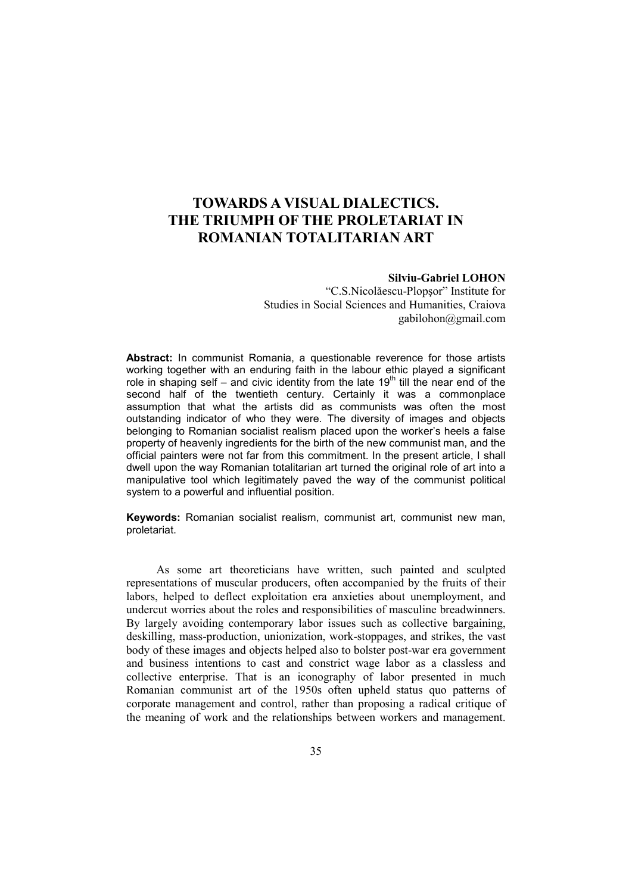## **TOWARDS A VISUAL DIALECTICS. THE TRIUMPH OF THE PROLETARIAT IN ROMANIAN TOTALITARIAN ART**

## **Silviu-Gabriel LOHON**

"C.S.Nicolăescu-Plopşor" Institute for Studies in Social Sciences and Humanities, Craiova gabilohon@gmail.com

**Abstract:** In communist Romania, a questionable reverence for those artists working together with an enduring faith in the labour ethic played a significant role in shaping self – and civic identity from the late  $19<sup>th</sup>$  till the near end of the second half of the twentieth century. Certainly it was a commonplace assumption that what the artists did as communists was often the most outstanding indicator of who they were. The diversity of images and objects belonging to Romanian socialist realism placed upon the worker's heels a false property of heavenly ingredients for the birth of the new communist man, and the official painters were not far from this commitment. In the present article, I shall dwell upon the way Romanian totalitarian art turned the original role of art into a manipulative tool which legitimately paved the way of the communist political system to a powerful and influential position.

**Keywords:** Romanian socialist realism, communist art, communist new man, proletariat.

As some art theoreticians have written, such painted and sculpted representations of muscular producers, often accompanied by the fruits of their labors, helped to deflect exploitation era anxieties about unemployment, and undercut worries about the roles and responsibilities of masculine breadwinners. By largely avoiding contemporary labor issues such as collective bargaining, deskilling, mass-production, unionization, work-stoppages, and strikes, the vast body of these images and objects helped also to bolster post-war era government and business intentions to cast and constrict wage labor as a classless and collective enterprise. That is an iconography of labor presented in much Romanian communist art of the 1950s often upheld status quo patterns of corporate management and control, rather than proposing a radical critique of the meaning of work and the relationships between workers and management.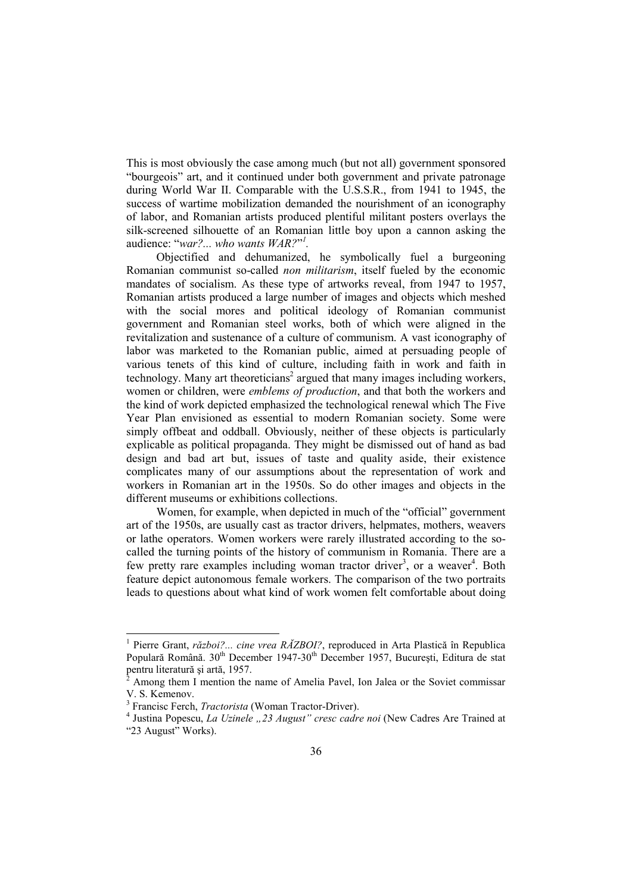This is most obviously the case among much (but not all) government sponsored "bourgeois" art, and it continued under both government and private patronage during World War II. Comparable with the U.S.S.R., from 1941 to 1945, the success of wartime mobilization demanded the nourishment of an iconography of labor, and Romanian artists produced plentiful militant posters overlays the silk-screened silhouette of an Romanian little boy upon a cannon asking the audience: "*war?... who wants WAR?*" *1 .*

Objectified and dehumanized, he symbolically fuel a burgeoning Romanian communist so-called *non militarism*, itself fueled by the economic mandates of socialism. As these type of artworks reveal, from 1947 to 1957, Romanian artists produced a large number of images and objects which meshed with the social mores and political ideology of Romanian communist government and Romanian steel works, both of which were aligned in the revitalization and sustenance of a culture of communism. A vast iconography of labor was marketed to the Romanian public, aimed at persuading people of various tenets of this kind of culture, including faith in work and faith in technology. Many art theoreticians<sup>2</sup> argued that many images including workers, women or children, were *emblems of production*, and that both the workers and the kind of work depicted emphasized the technological renewal which The Five Year Plan envisioned as essential to modern Romanian society. Some were simply offbeat and oddball. Obviously, neither of these objects is particularly explicable as political propaganda. They might be dismissed out of hand as bad design and bad art but, issues of taste and quality aside, their existence complicates many of our assumptions about the representation of work and workers in Romanian art in the 1950s. So do other images and objects in the different museums or exhibitions collections.

Women, for example, when depicted in much of the "official" government art of the 1950s, are usually cast as tractor drivers, helpmates, mothers, weavers or lathe operators. Women workers were rarely illustrated according to the socalled the turning points of the history of communism in Romania. There are a few pretty rare examples including woman tractor driver<sup>3</sup>, or a weaver<sup>4</sup>. Both feature depict autonomous female workers. The comparison of the two portraits leads to questions about what kind of work women felt comfortable about doing

 1 Pierre Grant, *război?... cine vrea RĂZBOI?*, reproduced in Arta Plastică în Republica Populară Română. 30<sup>th</sup> December 1947-30<sup>th</sup> December 1957, București, Editura de stat pentru literatură şi artă, 1957. 2

Among them I mention the name of Amelia Pavel, Ion Jalea or the Soviet commissar V. S. Kemenov.

<sup>3</sup> Francisc Ferch, *Tractorista* (Woman Tractor-Driver).

<sup>&</sup>lt;sup>4</sup> Justina Popescu, *La Uzinele "23 August" cresc cadre noi* (New Cadres Are Trained at "23 August" Works).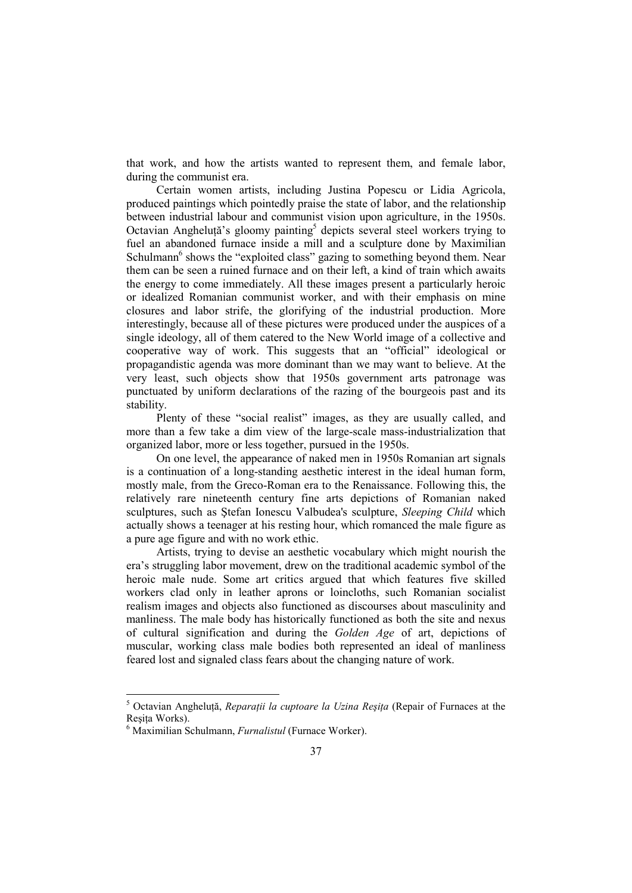that work, and how the artists wanted to represent them, and female labor, during the communist era.

Certain women artists, including Justina Popescu or Lidia Agricola, produced paintings which pointedly praise the state of labor, and the relationship between industrial labour and communist vision upon agriculture, in the 1950s. Octavian Angheluță's gloomy painting<sup>5</sup> depicts several steel workers trying to fuel an abandoned furnace inside a mill and a sculpture done by Maximilian Schulmann<sup>6</sup> shows the "exploited class" gazing to something beyond them. Near them can be seen a ruined furnace and on their left, a kind of train which awaits the energy to come immediately. All these images present a particularly heroic or idealized Romanian communist worker, and with their emphasis on mine closures and labor strife, the glorifying of the industrial production. More interestingly, because all of these pictures were produced under the auspices of a single ideology, all of them catered to the New World image of a collective and cooperative way of work. This suggests that an "official" ideological or propagandistic agenda was more dominant than we may want to believe. At the very least, such objects show that 1950s government arts patronage was punctuated by uniform declarations of the razing of the bourgeois past and its stability.

Plenty of these "social realist" images, as they are usually called, and more than a few take a dim view of the large-scale mass-industrialization that organized labor, more or less together, pursued in the 1950s.

On one level, the appearance of naked men in 1950s Romanian art signals is a continuation of a long-standing aesthetic interest in the ideal human form, mostly male, from the Greco-Roman era to the Renaissance. Following this, the relatively rare nineteenth century fine arts depictions of Romanian naked sculptures, such as Ştefan Ionescu Valbudea's sculpture, *Sleeping Child* which actually shows a teenager at his resting hour, which romanced the male figure as a pure age figure and with no work ethic.

Artists, trying to devise an aesthetic vocabulary which might nourish the era's struggling labor movement, drew on the traditional academic symbol of the heroic male nude. Some art critics argued that which features five skilled workers clad only in leather aprons or loincloths, such Romanian socialist realism images and objects also functioned as discourses about masculinity and manliness. The male body has historically functioned as both the site and nexus of cultural signification and during the *Golden Age* of art, depictions of muscular, working class male bodies both represented an ideal of manliness feared lost and signaled class fears about the changing nature of work.

<sup>&</sup>lt;sup>5</sup> Octavian Angheluță, *Reparații la cuptoare la Uzina Reșița* (Repair of Furnaces at the Resita Works).

<sup>6</sup> Maximilian Schulmann, *Furnalistul* (Furnace Worker).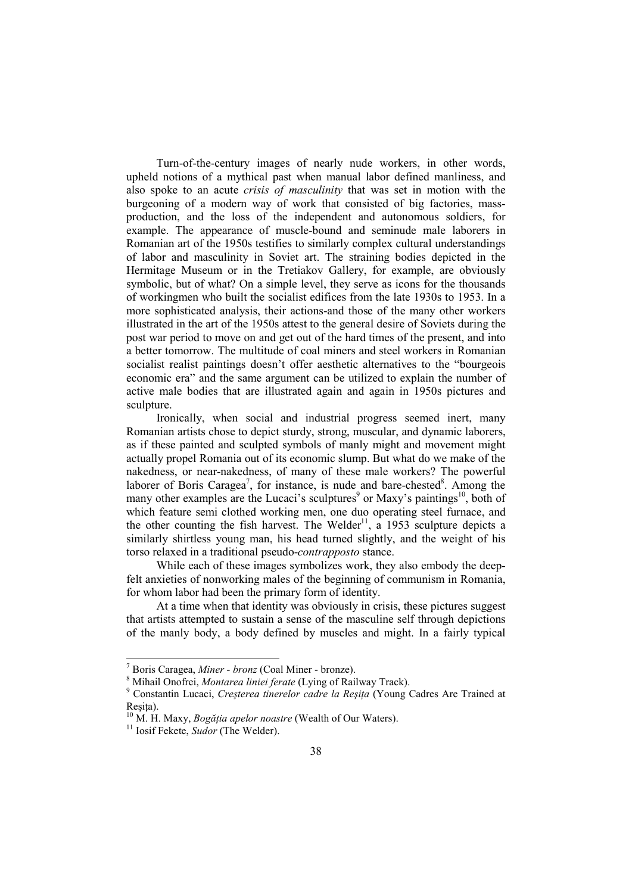Turn-of-the-century images of nearly nude workers, in other words, upheld notions of a mythical past when manual labor defined manliness, and also spoke to an acute *crisis of masculinity* that was set in motion with the burgeoning of a modern way of work that consisted of big factories, massproduction, and the loss of the independent and autonomous soldiers, for example. The appearance of muscle-bound and seminude male laborers in Romanian art of the 1950s testifies to similarly complex cultural understandings of labor and masculinity in Soviet art. The straining bodies depicted in the Hermitage Museum or in the Tretiakov Gallery, for example, are obviously symbolic, but of what? On a simple level, they serve as icons for the thousands of workingmen who built the socialist edifices from the late 1930s to 1953. In a more sophisticated analysis, their actions-and those of the many other workers illustrated in the art of the 1950s attest to the general desire of Soviets during the post war period to move on and get out of the hard times of the present, and into a better tomorrow. The multitude of coal miners and steel workers in Romanian socialist realist paintings doesn't offer aesthetic alternatives to the "bourgeois economic era" and the same argument can be utilized to explain the number of active male bodies that are illustrated again and again in 1950s pictures and sculpture.

Ironically, when social and industrial progress seemed inert, many Romanian artists chose to depict sturdy, strong, muscular, and dynamic laborers, as if these painted and sculpted symbols of manly might and movement might actually propel Romania out of its economic slump. But what do we make of the nakedness, or near-nakedness, of many of these male workers? The powerful laborer of Boris Caragea<sup>7</sup>, for instance, is nude and bare-chested<sup>8</sup>. Among the many other examples are the Lucaci's sculptures<sup>9</sup> or Maxy's paintings<sup>10</sup>, both of which feature semi clothed working men, one duo operating steel furnace, and the other counting the fish harvest. The Welder<sup>11</sup>, a 1953 sculpture depicts a similarly shirtless young man, his head turned slightly, and the weight of his torso relaxed in a traditional pseudo-*contrapposto* stance.

While each of these images symbolizes work, they also embody the deepfelt anxieties of nonworking males of the beginning of communism in Romania, for whom labor had been the primary form of identity.

At a time when that identity was obviously in crisis, these pictures suggest that artists attempted to sustain a sense of the masculine self through depictions of the manly body, a body defined by muscles and might. In a fairly typical

 7 Boris Caragea, *Miner - bronz* (Coal Miner - bronze).

<sup>8</sup> Mihail Onofrei, *Montarea liniei ferate* (Lying of Railway Track).

<sup>&</sup>lt;sup>9</sup> Constantin Lucaci, *Creșterea tinerelor cadre la Reșița* (Young Cadres Are Trained at Reşița).

<sup>&</sup>lt;sup>10</sup> M. H. Maxy, *Bogătia apelor noastre* (Wealth of Our Waters).

<sup>11</sup> Iosif Fekete, *Sudor* (The Welder).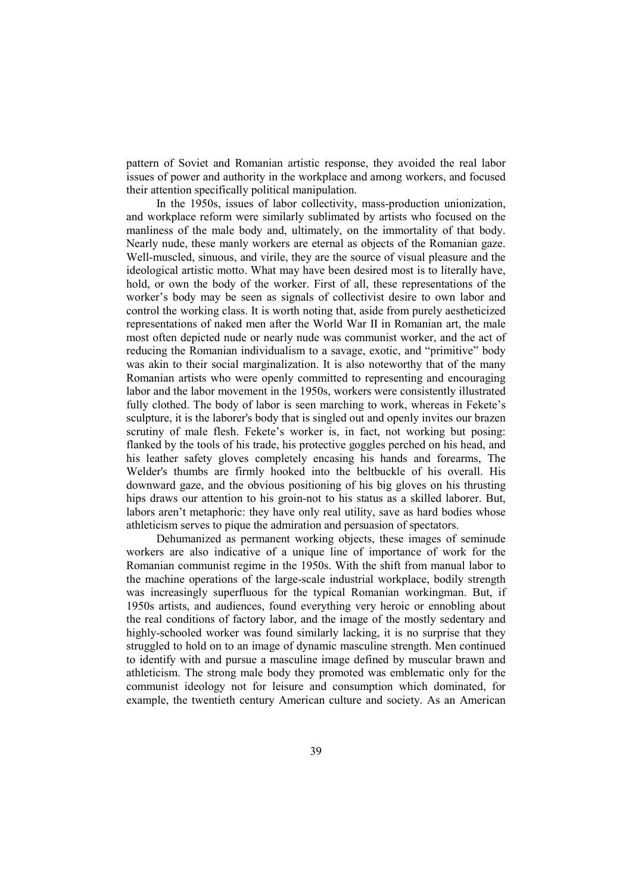pattern of Soviet and Romanian artistic response, they avoided the real labor issues of power and authority in the workplace and among workers, and focused their attention specifically political manipulation.

In the 1950s, issues of labor collectivity, mass-production unionization, and workplace reform were similarly sublimated by artists who focused on the manliness of the male body and, ultimately, on the immortality of that body. Nearly nude, these manly workers are eternal as objects of the Romanian gaze. Well-muscled, sinuous, and virile, they are the source of visual pleasure and the ideological artistic motto. What may have been desired most is to literally have, hold, or own the body of the worker. First of all, these representations of the worker's body may be seen as signals of collectivist desire to own labor and control the working class. It is worth noting that, aside from purely aestheticized representations of naked men after the World War II in Romanian art, the male most often depicted nude or nearly nude was communist worker, and the act of reducing the Romanian individualism to a savage, exotic, and "primitive" body was akin to their social marginalization. It is also noteworthy that of the many Romanian artists who were openly committed to representing and encouraging labor and the labor movement in the 1950s, workers were consistently illustrated fully clothed. The body of labor is seen marching to work, whereas in Fekete's sculpture, it is the laborer's body that is singled out and openly invites our brazen scrutiny of male flesh. Fekete's worker is, in fact, not working but posing: flanked by the tools of his trade, his protective goggles perched on his head, and his leather safety gloves completely encasing his hands and forearms, The Welder's thumbs are firmly hooked into the beltbuckle of his overall. His downward gaze, and the obvious positioning of his big gloves on his thrusting hips draws our attention to his groin-not to his status as a skilled laborer. But, labors aren't metaphoric: they have only real utility, save as hard bodies whose athleticism serves to pique the admiration and persuasion of spectators.

Dehumanized as permanent working objects, these images of seminude workers are also indicative of a unique line of importance of work for the Romanian communist regime in the 1950s. With the shift from manual labor to the machine operations of the large-scale industrial workplace, bodily strength was increasingly superfluous for the typical Romanian workingman. But, if 1950s artists, and audiences, found everything very heroic or ennobling about the real conditions of factory labor, and the image of the mostly sedentary and highly-schooled worker was found similarly lacking, it is no surprise that they struggled to hold on to an image of dynamic masculine strength. Men continued to identify with and pursue a masculine image defined by muscular brawn and athleticism. The strong male body they promoted was emblematic only for the communist ideology not for leisure and consumption which dominated, for example, the twentieth century American culture and society. As an American